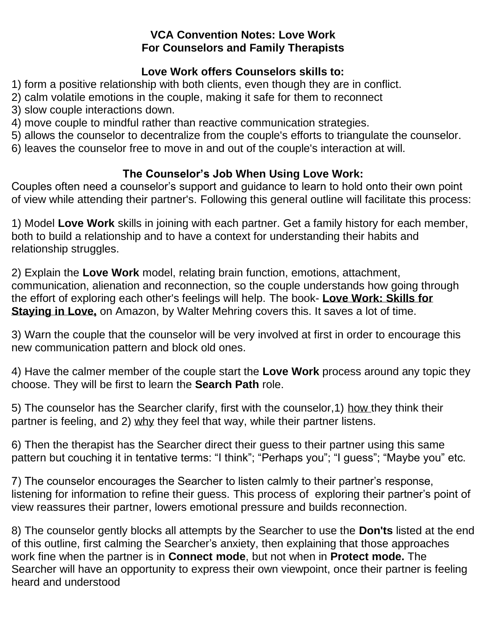### **VCA Convention Notes: Love Work For Counselors and Family Therapists**

## **Love Work offers Counselors skills to:**

1) form a positive relationship with both clients, even though they are in conflict.

2) calm volatile emotions in the couple, making it safe for them to reconnect

3) slow couple interactions down.

4) move couple to mindful rather than reactive communication strategies.

5) allows the counselor to decentralize from the couple's efforts to triangulate the counselor.

6) leaves the counselor free to move in and out of the couple's interaction at will.

# **The Counselor's Job When Using Love Work:**

Couples often need a counselor's support and guidance to learn to hold onto their own point of view while attending their partner's. Following this general outline will facilitate this process:

1) Model **Love Work** skills in joining with each partner. Get a family history for each member, both to build a relationship and to have a context for understanding their habits and relationship struggles.

2) Explain the **Love Work** model, relating brain function, emotions, attachment, communication, alienation and reconnection, so the couple understands how going through the effort of exploring each other's feelings will help. The book- **Love Work: Skills for Staying in Love,** on Amazon, by Walter Mehring covers this. It saves a lot of time.

3) Warn the couple that the counselor will be very involved at first in order to encourage this new communication pattern and block old ones.

4) Have the calmer member of the couple start the **Love Work** process around any topic they choose. They will be first to learn the **Search Path** role.

5) The counselor has the Searcher clarify, first with the counselor,1) how they think their partner is feeling, and 2) why they feel that way, while their partner listens.

6) Then the therapist has the Searcher direct their guess to their partner using this same pattern but couching it in tentative terms: "I think"; "Perhaps you"; "I guess"; "Maybe you" etc.

7) The counselor encourages the Searcher to listen calmly to their partner's response, listening for information to refine their guess. This process of exploring their partner's point of view reassures their partner, lowers emotional pressure and builds reconnection.

8) The counselor gently blocks all attempts by the Searcher to use the **Don'ts** listed at the end of this outline, first calming the Searcher's anxiety, then explaining that those approaches work fine when the partner is in **Connect mode**, but not when in **Protect mode.** The Searcher will have an opportunity to express their own viewpoint, once their partner is feeling heard and understood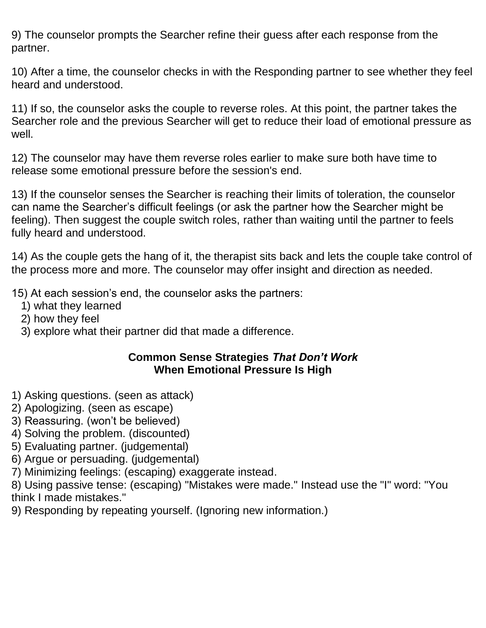9) The counselor prompts the Searcher refine their guess after each response from the partner.

10) After a time, the counselor checks in with the Responding partner to see whether they feel heard and understood.

11) If so, the counselor asks the couple to reverse roles. At this point, the partner takes the Searcher role and the previous Searcher will get to reduce their load of emotional pressure as well.

12) The counselor may have them reverse roles earlier to make sure both have time to release some emotional pressure before the session's end.

13) If the counselor senses the Searcher is reaching their limits of toleration, the counselor can name the Searcher's difficult feelings (or ask the partner how the Searcher might be feeling). Then suggest the couple switch roles, rather than waiting until the partner to feels fully heard and understood.

14) As the couple gets the hang of it, the therapist sits back and lets the couple take control of the process more and more. The counselor may offer insight and direction as needed.

15) At each session's end, the counselor asks the partners:

- 1) what they learned
- 2) how they feel
- 3) explore what their partner did that made a difference.

#### **Common Sense Strategies** *That Don't Work* **When Emotional Pressure Is High**

- 1) Asking questions. (seen as attack)
- 2) Apologizing. (seen as escape)
- 3) Reassuring. (won't be believed)
- 4) Solving the problem. (discounted)
- 5) Evaluating partner. (judgemental)
- 6) Argue or persuading. (judgemental)
- 7) Minimizing feelings: (escaping) exaggerate instead.

8) Using passive tense: (escaping) "Mistakes were made." Instead use the "I" word: "You think I made mistakes."

9) Responding by repeating yourself. (Ignoring new information.)